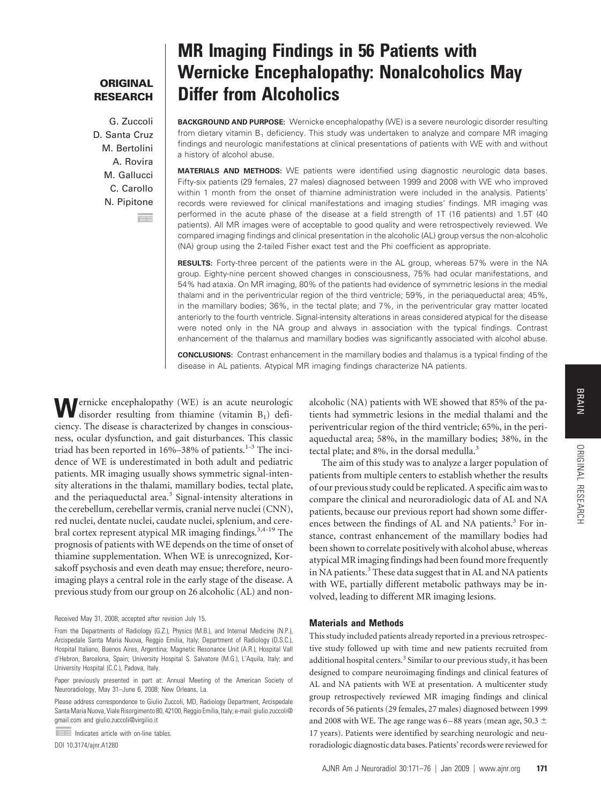## **ORIGINAL RESEARCH**

G. Zuccoli D. Santa Cruz M. Bertolini A. Rovira M. Gallucci C. Carollo N. Pipitone Б÷.

# **MR Imaging Findings in 56 Patients with Wernicke Encephalopathy: Nonalcoholics May Differ from Alcoholics**

**BACKGROUND AND PURPOSE:** Wernicke encephalopathy (WE) is a severe neurologic disorder resulting from dietary vitamin  $B_1$  deficiency. This study was undertaken to analyze and compare MR imaging findings and neurologic manifestations at clinical presentations of patients with WE with and without a history of alcohol abuse.

**MATERIALS AND METHODS:** WE patients were identified using diagnostic neurologic data bases. Fifty-six patients (29 females, 27 males) diagnosed between 1999 and 2008 with WE who improved within 1 month from the onset of thiamine administration were included in the analysis. Patients' records were reviewed for clinical manifestations and imaging studies' findings. MR imaging was performed in the acute phase of the disease at a field strength of 1T (16 patients) and 1.5T (40 patients). All MR images were of acceptable to good quality and were retrospectively reviewed. We compared imaging findings and clinical presentation in the alcoholic (AL) group versus the non-alcoholic (NA) group using the 2-tailed Fisher exact test and the Phi coefficient as appropriate.

**RESULTS:** Forty-three percent of the patients were in the AL group, whereas 57% were in the NA group. Eighty-nine percent showed changes in consciousness, 75% had ocular manifestations, and 54% had ataxia. On MR imaging, 80% of the patients had evidence of symmetric lesions in the medial thalami and in the periventricular region of the third ventricle; 59%, in the periaqueductal area; 45%, in the mamillary bodies; 36%, in the tectal plate; and 7%, in the periventricular gray matter located anteriorly to the fourth ventricle. Signal-intensity alterations in areas considered atypical for the disease were noted only in the NA group and always in association with the typical findings. Contrast enhancement of the thalamus and mamillary bodies was significantly associated with alcohol abuse.

**CONCLUSIONS:** Contrast enhancement in the mamillary bodies and thalamus is a typical finding of the disease in AL patients. Atypical MR imaging findings characterize NA patients.

**W**ernicke encephalopathy (WE) is an acute neurologic disorder resulting from thiamine (vitamin  $B_1$ ) deficiency. The disease is characterized by changes in consciousness, ocular dysfunction, and gait disturbances. This classic triad has been reported in 16%–38% of patients.<sup>1-3</sup> The incidence of WE is underestimated in both adult and pediatric patients. MR imaging usually shows symmetric signal-intensity alterations in the thalami, mamillary bodies, tectal plate, and the periaqueductal area.<sup>3</sup> Signal-intensity alterations in the cerebellum, cerebellar vermis, cranial nerve nuclei (CNN), red nuclei, dentate nuclei, caudate nuclei, splenium, and cerebral cortex represent atypical MR imaging findings.<sup>3,4-19</sup> The prognosis of patients with WE depends on the time of onset of thiamine supplementation. When WE is unrecognized, Korsakoff psychosis and even death may ensue; therefore, neuroimaging plays a central role in the early stage of the disease. A previous study from our group on 26 alcoholic (AL) and non-

Received May 31, 2008; accepted after revision July 15.

DOI 10.3174/ajnr.A1280

alcoholic (NA) patients with WE showed that 85% of the patients had symmetric lesions in the medial thalami and the periventricular region of the third ventricle; 65%, in the periaqueductal area; 58%, in the mamillary bodies; 38%, in the tectal plate; and 8%, in the dorsal medulla.<sup>3</sup>

The aim of this study was to analyze a larger population of patients from multiple centers to establish whether the results of our previous study could be replicated. A specific aim was to compare the clinical and neuroradiologic data of AL and NA patients, because our previous report had shown some differences between the findings of AL and NA patients.<sup>3</sup> For instance, contrast enhancement of the mamillary bodies had been shown to correlate positively with alcohol abuse, whereas atypical MR imaging findings had been found more frequently in NA patients.<sup>3</sup> These data suggest that in AL and NA patients with WE, partially different metabolic pathways may be involved, leading to different MR imaging lesions.

#### **Materials and Methods**

This study included patients already reported in a previous retrospective study followed up with time and new patients recruited from additional hospital centers.<sup>3</sup> Similar to our previous study, it has been designed to compare neuroimaging findings and clinical features of AL and NA patients with WE at presentation. A multicenter study group retrospectively reviewed MR imaging findings and clinical records of 56 patients (29 females, 27 males) diagnosed between 1999 and 2008 with WE. The age range was 6–88 years (mean age, 50.3  $\pm$ 17 years). Patients were identified by searching neurologic and neuroradiologic diagnostic data bases. Patients' records were reviewed for

ORIGINAL**ORIGINAL RESEARCH** 

RESEARCH

From the Departments of Radiology (G.Z.), Physics (M.B.), and Internal Medicine (N.P.), Arcispedale Santa Maria Nuova, Reggio Emilia, Italy; Department of Radiology (D.S.C.), Hospital Italiano, Buenos Aires, Argentina; Magnetic Resonance Unit (A.R.), Hospital Vall d'Hebron, Barcelona, Spain; University Hospital S. Salvatore (M.G.), L'Aquila, Italy; and University Hospital (C.C.), Padova, Italy.

Paper previously presented in part at: Annual Meeting of the American Society of Neuroradiology, May 31–June 6, 2008; New Orleans, La.

Please address correspondence to Giulio Zuccoli, MD, Radiology Department, Arcispedale Santa Maria Nuova, Viale Risorgimento 80, 42100, Reggio Emilia, Italy; e-mail: giulio.zuccoli@ gmail.com and giulio.zuccoli@virgilio.it

Indicates article with on-line tables.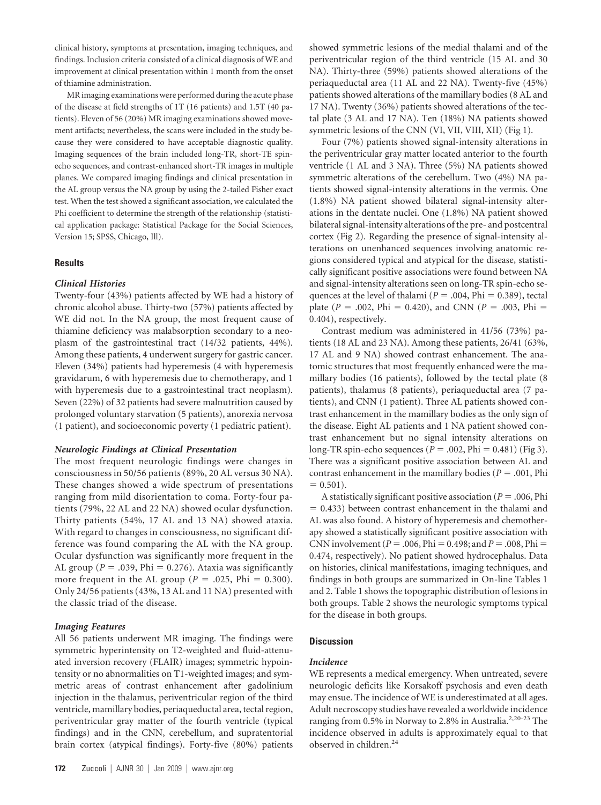clinical history, symptoms at presentation, imaging techniques, and findings. Inclusion criteria consisted of a clinical diagnosis of WE and improvement at clinical presentation within 1 month from the onset of thiamine administration.

MR imaging examinations were performed during the acute phase of the disease at field strengths of 1T (16 patients) and 1.5T (40 patients). Eleven of 56 (20%) MR imaging examinations showed movement artifacts; nevertheless, the scans were included in the study because they were considered to have acceptable diagnostic quality. Imaging sequences of the brain included long-TR, short-TE spinecho sequences, and contrast-enhanced short-TR images in multiple planes. We compared imaging findings and clinical presentation in the AL group versus the NA group by using the 2-tailed Fisher exact test. When the test showed a significant association, we calculated the Phi coefficient to determine the strength of the relationship (statistical application package: Statistical Package for the Social Sciences, Version 15; SPSS, Chicago, Ill).

#### **Results**

#### *Clinical Histories*

Twenty-four (43%) patients affected by WE had a history of chronic alcohol abuse. Thirty-two (57%) patients affected by WE did not. In the NA group, the most frequent cause of thiamine deficiency was malabsorption secondary to a neoplasm of the gastrointestinal tract (14/32 patients, 44%). Among these patients, 4 underwent surgery for gastric cancer. Eleven (34%) patients had hyperemesis (4 with hyperemesis gravidarum, 6 with hyperemesis due to chemotherapy, and 1 with hyperemesis due to a gastrointestinal tract neoplasm). Seven (22%) of 32 patients had severe malnutrition caused by prolonged voluntary starvation (5 patients), anorexia nervosa (1 patient), and socioeconomic poverty (1 pediatric patient).

#### *Neurologic Findings at Clinical Presentation*

The most frequent neurologic findings were changes in consciousness in 50/56 patients (89%, 20 AL versus 30 NA). These changes showed a wide spectrum of presentations ranging from mild disorientation to coma. Forty-four patients (79%, 22 AL and 22 NA) showed ocular dysfunction. Thirty patients (54%, 17 AL and 13 NA) showed ataxia. With regard to changes in consciousness, no significant difference was found comparing the AL with the NA group. Ocular dysfunction was significantly more frequent in the AL group ( $P = .039$ ,  $Phi = 0.276$ ). Ataxia was significantly more frequent in the AL group ( $P = .025$ , Phi = 0.300). Only 24/56 patients (43%, 13 AL and 11 NA) presented with the classic triad of the disease.

#### *Imaging Features*

All 56 patients underwent MR imaging. The findings were symmetric hyperintensity on T2-weighted and fluid-attenuated inversion recovery (FLAIR) images; symmetric hypointensity or no abnormalities on T1-weighted images; and symmetric areas of contrast enhancement after gadolinium injection in the thalamus, periventricular region of the third ventricle, mamillary bodies, periaqueductal area, tectal region, periventricular gray matter of the fourth ventricle (typical findings) and in the CNN, cerebellum, and supratentorial brain cortex (atypical findings). Forty-five (80%) patients showed symmetric lesions of the medial thalami and of the periventricular region of the third ventricle (15 AL and 30 NA). Thirty-three (59%) patients showed alterations of the periaqueductal area (11 AL and 22 NA). Twenty-five (45%) patients showed alterations of the mamillary bodies (8 AL and 17 NA). Twenty (36%) patients showed alterations of the tectal plate (3 AL and 17 NA). Ten (18%) NA patients showed symmetric lesions of the CNN (VI, VII, VIII, XII) (Fig 1).

Four (7%) patients showed signal-intensity alterations in the periventricular gray matter located anterior to the fourth ventricle (1 AL and 3 NA). Three (5%) NA patients showed symmetric alterations of the cerebellum. Two (4%) NA patients showed signal-intensity alterations in the vermis. One (1.8%) NA patient showed bilateral signal-intensity alterations in the dentate nuclei. One (1.8%) NA patient showed bilateral signal-intensity alterations of the pre- and postcentral cortex (Fig 2). Regarding the presence of signal-intensity alterations on unenhanced sequences involving anatomic regions considered typical and atypical for the disease, statistically significant positive associations were found between NA and signal-intensity alterations seen on long-TR spin-echo sequences at the level of thalami  $(P = .004, Phi = 0.389)$ , tectal plate ( $P = .002$ , Phi = 0.420), and CNN ( $P = .003$ , Phi = 0.404), respectively.

Contrast medium was administered in 41/56 (73%) patients (18 AL and 23 NA). Among these patients, 26/41 (63%, 17 AL and 9 NA) showed contrast enhancement. The anatomic structures that most frequently enhanced were the mamillary bodies (16 patients), followed by the tectal plate (8 patients), thalamus (8 patients), periaqueductal area (7 patients), and CNN (1 patient). Three AL patients showed contrast enhancement in the mamillary bodies as the only sign of the disease. Eight AL patients and 1 NA patient showed contrast enhancement but no signal intensity alterations on long-TR spin-echo sequences ( $P = .002$ , Phi = 0.481) (Fig 3). There was a significant positive association between AL and contrast enhancement in the mamillary bodies ( $P = .001$ , Phi  $= 0.501$ ).

A statistically significant positive association ( $P = .006$ , Phi - 0.433) between contrast enhancement in the thalami and AL was also found. A history of hyperemesis and chemotherapy showed a statistically significant positive association with CNN involvement ( $P = 0.006$ , Phi = 0.498; and  $P = 0.008$ , Phi = 0.474, respectively). No patient showed hydrocephalus. Data on histories, clinical manifestations, imaging techniques, and findings in both groups are summarized in On-line Tables 1 and 2. Table 1 shows the topographic distribution of lesions in both groups. Table 2 shows the neurologic symptoms typical for the disease in both groups.

#### **Discussion**

#### *Incidence*

WE represents a medical emergency. When untreated, severe neurologic deficits like Korsakoff psychosis and even death may ensue. The incidence of WE is underestimated at all ages. Adult necroscopy studies have revealed a worldwide incidence ranging from 0.5% in Norway to 2.8% in Australia.<sup>2,20-23</sup> The incidence observed in adults is approximately equal to that observed in children.24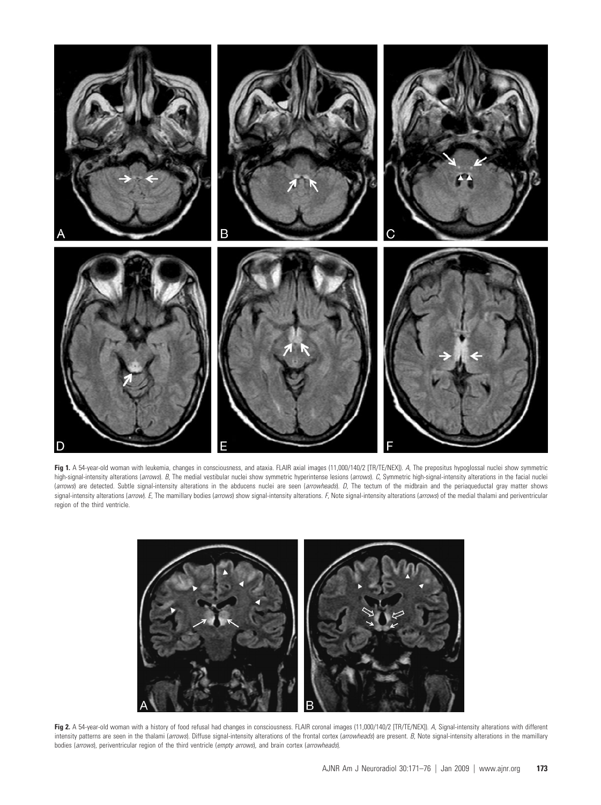

**Fig 1.** A 54-year-old woman with leukemia, changes in consciousness, and ataxia. FLAIR axial images (11,000/140/2 [TR/TE/NEX]). *A*, The prepositus hypoglossal nuclei show symmetric high-signal-intensity alterations (*arrows*). B, The medial vestibular nuclei show symmetric hyperintense lesions (*arrows*). C, Symmetric high-signal-intensity alterations in the facial nuclei (*arrows*) are detected. Subtle signal-intensity alterations in the abducens nuclei are seen (*arrowheads*). *D*, The tectum of the midbrain and the periaqueductal gray matter shows signal-intensity alterations (arrow). E, The mamillary bodies (arrows) show signal-intensity alterations. F, Note signal-intensity alterations (arrows) of the medial thalami and periventricular region of the third ventricle.



Fig 2. A 54-year-old woman with a history of food refusal had changes in consciousness. FLAIR coronal images (11,000/140/2 [TR/TE/NEX]). *A*, Signal-intensity alterations with different intensity patterns are seen in the thalami (*arrows*). Diffuse signal-intensity alterations of the frontal cortex (*arrowheads*) are present. *B*, Note signal-intensity alterations in the mamillary bodies (*arrows*), periventricular region of the third ventricle (*empty arrows*), and brain cortex (*arrowheads*).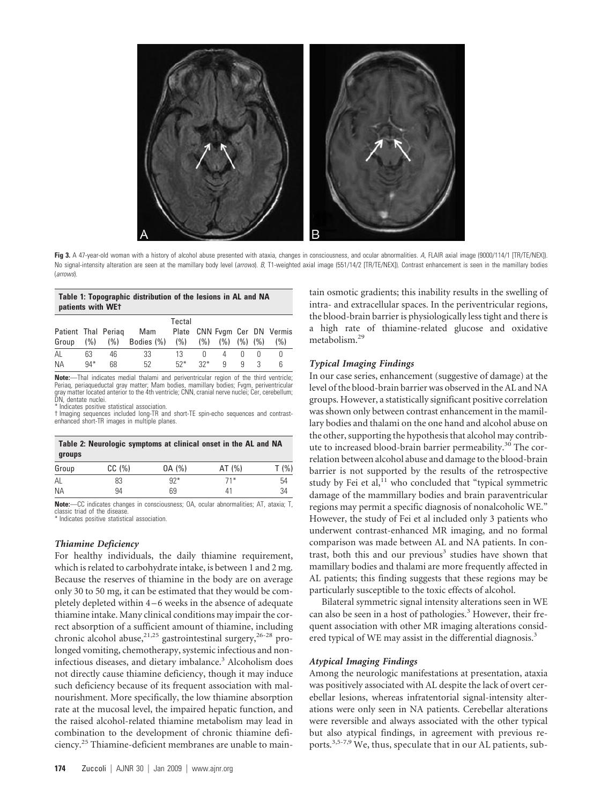

**Fig 3.** A 47-year-old woman with a history of alcohol abuse presented with ataxia, changes in consciousness, and ocular abnormalities. *A*, FLAIR axial image (9000/114/1 [TR/TE/NEX]). No signal-intensity alteration are seen at the mamillary body level (arrows). B, T1-weighted axial image (551/14/2 [TR/TE/NEX]). Contrast enhancement is seen in the mamillary bodies (*arrows*).

#### **Table 1: Topographic distribution of the lesions in AL and NA patients with WE†**

|                     |       |    |                    | Tectal |       |                   |   |                              |
|---------------------|-------|----|--------------------|--------|-------|-------------------|---|------------------------------|
| Patient Thal Periag |       |    | Mam                |        |       |                   |   | Plate CNN Fvgm Cer DN Vermis |
| Group (%)           |       |    | (%) Bodies (%) (%) |        | (% )  | $(%)$ $(%)$ $(%)$ |   | (%)                          |
| AL                  | 63    | 46 | 33                 | 13     | 0     | 4                 |   |                              |
| NА                  | $94*$ | 68 | 52                 | $52*$  | $32*$ | q                 | q |                              |

**Note:**—Thal indicates medial thalami and periventricular region of the third ventricle; Periaq, periaqueductal gray matter; Mam bodies, mamillary bodies; Fvgm, periventricular gray matter located anterior to the 4th ventricle; CNN, cranial nerve nuclei; Cer, cerebellum; DN, dentate nuclei.

\* Indicates positive statistical association.

† Imaging sequences included long-TR and short-TE spin-echo sequences and contrast-enhanced short-TR images in multiple planes.

| Table 2: Neurologic symptoms at clinical onset in the AL and NA<br>groups |       |        |        |         |  |  |  |  |  |
|---------------------------------------------------------------------------|-------|--------|--------|---------|--|--|--|--|--|
| Group                                                                     | CC(%) | 0A (%) | AT (%) | $T($ %) |  |  |  |  |  |
| AL                                                                        | 83    | $92*$  | $71*$  | 54      |  |  |  |  |  |
| NА                                                                        | 94    | 69     | 41     | 34      |  |  |  |  |  |

**Note:**—CC indicates changes in consciousness; OA, ocular abnormalities; AT, ataxia; T, classic triad of the disease.

\* Indicates positive statistical association.

#### *Thiamine Deficiency*

For healthy individuals, the daily thiamine requirement, which is related to carbohydrate intake, is between 1 and 2 mg. Because the reserves of thiamine in the body are on average only 30 to 50 mg, it can be estimated that they would be completely depleted within 4 – 6 weeks in the absence of adequate thiamine intake. Many clinical conditions may impair the correct absorption of a sufficient amount of thiamine, including chronic alcohol abuse,<sup>21,25</sup> gastrointestinal surgery,<sup>26-28</sup> prolonged vomiting, chemotherapy, systemic infectious and noninfectious diseases, and dietary imbalance.<sup>3</sup> Alcoholism does not directly cause thiamine deficiency, though it may induce such deficiency because of its frequent association with malnourishment. More specifically, the low thiamine absorption rate at the mucosal level, the impaired hepatic function, and the raised alcohol-related thiamine metabolism may lead in combination to the development of chronic thiamine deficiency.25 Thiamine-deficient membranes are unable to maintain osmotic gradients; this inability results in the swelling of intra- and extracellular spaces. In the periventricular regions, the blood-brain barrier is physiologically less tight and there is a high rate of thiamine-related glucose and oxidative metabolism.29

#### *Typical Imaging Findings*

In our case series, enhancement (suggestive of damage) at the level of the blood-brain barrier was observed in the AL and NA groups. However, a statistically significant positive correlation was shown only between contrast enhancement in the mamillary bodies and thalami on the one hand and alcohol abuse on the other, supporting the hypothesis that alcohol may contribute to increased blood-brain barrier permeability.<sup>30</sup> The correlation between alcohol abuse and damage to the blood-brain barrier is not supported by the results of the retrospective study by Fei et al,<sup>11</sup> who concluded that "typical symmetric damage of the mammillary bodies and brain paraventricular regions may permit a specific diagnosis of nonalcoholic WE." However, the study of Fei et al included only 3 patients who underwent contrast-enhanced MR imaging, and no formal comparison was made between AL and NA patients. In contrast, both this and our previous<sup>3</sup> studies have shown that mamillary bodies and thalami are more frequently affected in AL patients; this finding suggests that these regions may be particularly susceptible to the toxic effects of alcohol.

Bilateral symmetric signal intensity alterations seen in WE can also be seen in a host of pathologies.<sup>3</sup> However, their frequent association with other MR imaging alterations considered typical of WE may assist in the differential diagnosis.<sup>3</sup>

#### *Atypical Imaging Findings*

Among the neurologic manifestations at presentation, ataxia was positively associated with AL despite the lack of overt cerebellar lesions, whereas infratentorial signal-intensity alterations were only seen in NA patients. Cerebellar alterations were reversible and always associated with the other typical but also atypical findings, in agreement with previous reports.3,5-7,9 We, thus, speculate that in our AL patients, sub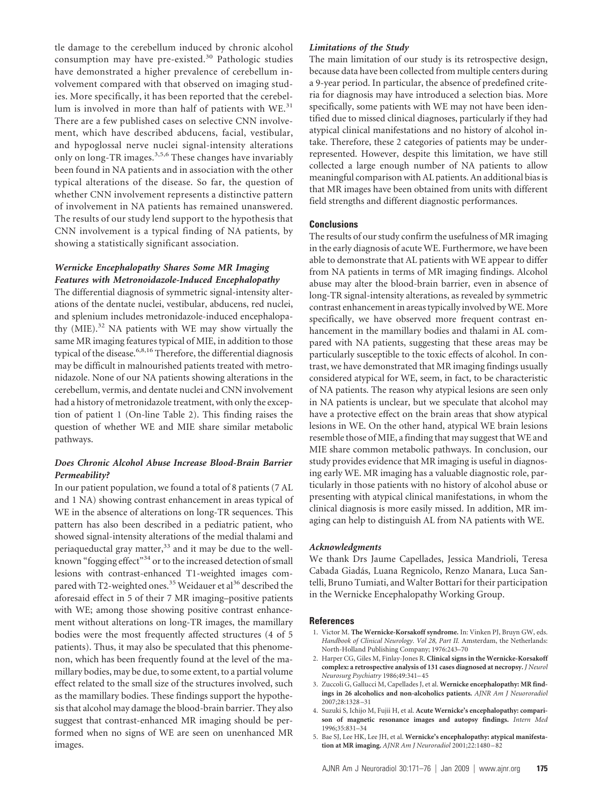tle damage to the cerebellum induced by chronic alcohol consumption may have pre-existed.<sup>30</sup> Pathologic studies have demonstrated a higher prevalence of cerebellum involvement compared with that observed on imaging studies. More specifically, it has been reported that the cerebellum is involved in more than half of patients with  $WE<sup>31</sup>$ There are a few published cases on selective CNN involvement, which have described abducens, facial, vestibular, and hypoglossal nerve nuclei signal-intensity alterations only on long-TR images.3,5,6 These changes have invariably been found in NA patients and in association with the other typical alterations of the disease. So far, the question of whether CNN involvement represents a distinctive pattern of involvement in NA patients has remained unanswered. The results of our study lend support to the hypothesis that CNN involvement is a typical finding of NA patients, by showing a statistically significant association.

### *Wernicke Encephalopathy Shares Some MR Imaging Features with Metronoidazole-Induced Encephalopathy*

The differential diagnosis of symmetric signal-intensity alterations of the dentate nuclei, vestibular, abducens, red nuclei, and splenium includes metronidazole-induced encephalopathy  $(MIE).<sup>32</sup>$  NA patients with WE may show virtually the same MR imaging features typical of MIE, in addition to those typical of the disease.<sup>6,8,16</sup> Therefore, the differential diagnosis may be difficult in malnourished patients treated with metronidazole. None of our NA patients showing alterations in the cerebellum, vermis, and dentate nuclei and CNN involvement had a history of metronidazole treatment, with only the exception of patient 1 (On-line Table 2). This finding raises the question of whether WE and MIE share similar metabolic pathways.

## *Does Chronic Alcohol Abuse Increase Blood-Brain Barrier Permeability?*

In our patient population, we found a total of 8 patients (7 AL and 1 NA) showing contrast enhancement in areas typical of WE in the absence of alterations on long-TR sequences. This pattern has also been described in a pediatric patient, who showed signal-intensity alterations of the medial thalami and periaqueductal gray matter,<sup>33</sup> and it may be due to the wellknown "fogging effect"<sup>34</sup> or to the increased detection of small lesions with contrast-enhanced T1-weighted images compared with T2-weighted ones.<sup>35</sup> Weidauer et al<sup>36</sup> described the aforesaid effect in 5 of their 7 MR imaging–positive patients with WE; among those showing positive contrast enhancement without alterations on long-TR images, the mamillary bodies were the most frequently affected structures (4 of 5 patients). Thus, it may also be speculated that this phenomenon, which has been frequently found at the level of the mamillary bodies, may be due, to some extent, to a partial volume effect related to the small size of the structures involved, such as the mamillary bodies. These findings support the hypothesis that alcohol may damage the blood-brain barrier. They also suggest that contrast-enhanced MR imaging should be performed when no signs of WE are seen on unenhanced MR images.

## *Limitations of the Study*

The main limitation of our study is its retrospective design, because data have been collected from multiple centers during a 9-year period. In particular, the absence of predefined criteria for diagnosis may have introduced a selection bias. More specifically, some patients with WE may not have been identified due to missed clinical diagnoses, particularly if they had atypical clinical manifestations and no history of alcohol intake. Therefore, these 2 categories of patients may be underrepresented. However, despite this limitation, we have still collected a large enough number of NA patients to allow meaningful comparison with AL patients. An additional bias is that MR images have been obtained from units with different field strengths and different diagnostic performances.

## **Conclusions**

The results of our study confirm the usefulness of MR imaging in the early diagnosis of acute WE. Furthermore, we have been able to demonstrate that AL patients with WE appear to differ from NA patients in terms of MR imaging findings. Alcohol abuse may alter the blood-brain barrier, even in absence of long-TR signal-intensity alterations, as revealed by symmetric contrast enhancement in areas typically involved by WE. More specifically, we have observed more frequent contrast enhancement in the mamillary bodies and thalami in AL compared with NA patients, suggesting that these areas may be particularly susceptible to the toxic effects of alcohol. In contrast, we have demonstrated that MR imaging findings usually considered atypical for WE, seem, in fact, to be characteristic of NA patients. The reason why atypical lesions are seen only in NA patients is unclear, but we speculate that alcohol may have a protective effect on the brain areas that show atypical lesions in WE. On the other hand, atypical WE brain lesions resemble those of MIE, a finding that may suggest that WE and MIE share common metabolic pathways. In conclusion, our study provides evidence that MR imaging is useful in diagnosing early WE. MR imaging has a valuable diagnostic role, particularly in those patients with no history of alcohol abuse or presenting with atypical clinical manifestations, in whom the clinical diagnosis is more easily missed. In addition, MR imaging can help to distinguish AL from NA patients with WE.

#### *Acknowledgments*

We thank Drs Jaume Capellades, Jessica Mandrioli, Teresa Cabada Giada´s, Luana Regnicolo, Renzo Manara, Luca Santelli, Bruno Tumiati, and Walter Bottari for their participation in the Wernicke Encephalopathy Working Group.

#### **References**

- 1. Victor M. **The Wernicke-Korsakoff syndrome.** In: Vinken PJ, Bruyn GW, eds. *Handbook of Clinical Neurology. Vol 28, Part II.* Amsterdam, the Netherlands: North-Holland Publishing Company; 1976:243–70
- 2. Harper CG, Giles M, Finlay-Jones R. **Clinical signs in the Wernicke-Korsakoff complex: a retrospective analysis of 131 cases diagnosed at necropsy.** *J Neurol Neurosurg Psychiatry* 1986;49:341– 45
- 3. Zuccoli G, Gallucci M, Capellades J, et al. **Wernicke encephalopathy: MR findings in 26 alcoholics and non-alcoholics patients.** *AJNR Am J Neuororadiol* 2007;28:1328 –31
- 4. Suzuki S, Ichijo M, Fujii H, et al. **Acute Wernicke's encephalopathy: comparison of magnetic resonance images and autopsy findings.** *Intern Med* 1996;35:831–34
- 5. Bae SJ, Lee HK, Lee JH, et al. **Wernicke's encephalopathy: atypical manifestation at MR imaging.** *AJNR Am J Neuroradiol* 2001;22:1480 – 82